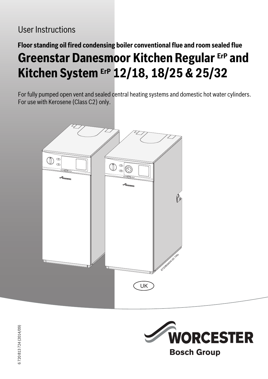## User Instructions

# **Floor standing oil fired condensing boiler conventional flue and room sealed flue Greenstar Danesmoor Kitchen Regular ErP and Kitchen System ErP 12/18, 18/25 & 25/32**

For fully pumped open vent and sealed central heating systems and domestic hot water cylinders. For use with Kerosene (Class C2) only.



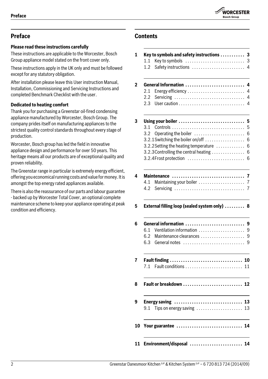

## **Preface**

## **Please read these instructions carefully**

These instructions are applicable to the Worcester, Bosch Group appliance model stated on the front cover only.

These instructions apply in the UK only and must be followed except for any statutory obligation.

After installation please leave this User instruction Manual, Installation, Commissioning and Servicing Instructions and completed Benchmark Checklist with the user.

## **Dedicated to heating comfort**

Thank you for purchasing a Greenstar oil-fired condensing appliance manufactured by Worcester, Bosch Group. The company prides itself on manufacturing appliances to the strictest quality control standards throughout every stage of production.

Worcester, Bosch group has led the field in innovative appliance design and performance for over 50 years. This heritage means all our products are of exceptional quality and proven reliability.

The Greenstar range in particular is extremely energy efficient, offering you economical running costs and value for money. It is amongst the top energy rated appliances available.

There is also the reassurance of our parts and labour guarantee - backed up by Worcester Total Cover, an optional complete maintenance scheme to keep your appliance operating at peak condition and efficiency.

## **Contents**

## **1 Key to symbols and safety instructions . . . . . . . . . . . 3** [1.1 Key to symbols . . . . . . . . . . . . . . . . . . . . . . . . . . . 3](#page-2-0) [1.2 Safety instructions . . . . . . . . . . . . . . . . . . . . . . . . 4](#page-3-0) **[2 General Information . . . . . . . . . . . . . . . . . . . . . . . . . . . 4](#page-3-1)** [2.1 Energy efficiency . . . . . . . . . . . . . . . . . . . . . . . . . . 4](#page-3-2) [2.2 Servicing . . . . . . . . . . . . . . . . . . . . . . . . . . . . . . . . 4](#page-3-3) [2.3 User caution . . . . . . . . . . . . . . . . . . . . . . . . . . . . . . 4](#page-3-4) **[3 Using your boiler . . . . . . . . . . . . . . . . . . . . . . . . . . . . . . 5](#page-4-0)** [3.1 Controls . . . . . . . . . . . . . . . . . . . . . . . . . . . . . . . . . 5](#page-4-1) [3.2 Operating the boiler . . . . . . . . . . . . . . . . . . . . . . . 6](#page-5-0)  $3.2.1$  Switching the boiler on/off  $\dots\dots\dots\dots\dots$  . 6  $3.2.2$  Setting the heating temperature  $\dots\dots\dots\dots$  6  $3.2.3$  Controlling the central heating  $\dots\dots\dots\dots$  . 6 [3.2.4Frost protection . . . . . . . . . . . . . . . . . . . . . . . . . . 6](#page-5-4) **[4 Maintenance . . . . . . . . . . . . . . . . . . . . . . . . . . . . . . . . . 7](#page-6-0)** [4.1 Maintaining your boiler . . . . . . . . . . . . . . . . . . . . . 7](#page-6-1) [4.2 Servicing . . . . . . . . . . . . . . . . . . . . . . . . . . . . . . . . 7](#page-6-2) **[5 External filling loop \(sealed system only\) . . . . . . . . . 8](#page-7-0) [6 General information . . . . . . . . . . . . . . . . . . . . . . . . . . . 9](#page-8-0)** 6.1 Ventilation information ............................. 9 [6.2 Maintenance clearances . . . . . . . . . . . . . . . . . . . . 9](#page-8-2) [6.3 General notes . . . . . . . . . . . . . . . . . . . . . . . . . . . . 9](#page-8-3) **[7 Fault finding . . . . . . . . . . . . . . . . . . . . . . . . . . . . . . . . . 10](#page-9-0)** [7.1 Fault conditions . . . . . . . . . . . . . . . . . . . . . . . . . . 11](#page-10-0) **[8 Fault or breakdown . . . . . . . . . . . . . . . . . . . . . . . . . . . 12](#page-11-0) [9 Energy saving . . . . . . . . . . . . . . . . . . . . . . . . . . . . . . . 13](#page-12-0)**  $9.1$  Tips on energy saving  $\dots\dots\dots\dots\dots\dots$  13 **[10 Your guarantee . . . . . . . . . . . . . . . . . . . . . . . . . . . . . . 14](#page-13-0) [11 Environment/disposal . . . . . . . . . . . . . . . . . . . . . . . . 14](#page-13-1)**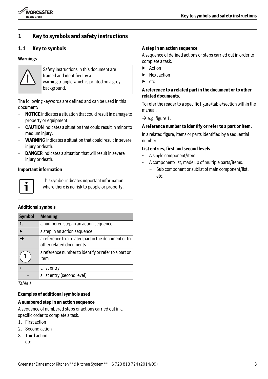

## **1 Key to symbols and safety instructions**

## <span id="page-2-0"></span>**1.1 Key to symbols**

#### **Warnings**



Safety instructions in this document are framed and identified by a warning triangle which is printed on a grey background.

The following keywords are defined and can be used in this document:

- **NOTICE** indicates a situation that could result in damage to property or equipment.
- **CAUTION** indicates a situation that could result in minor to medium injury.
- **WARNING** indicates a situation that could result in severe injury or death.
- **DANGER** indicates a situation that will result in severe injury or death.

#### **Important information**



This symbol indicates important information where there is no risk to people or property.

#### **Additional symbols**

| <b>Symbol</b>            | <b>Meaning</b>                                                                 |
|--------------------------|--------------------------------------------------------------------------------|
| 1.                       | a numbered step in an action sequence                                          |
|                          | a step in an action sequence                                                   |
| $\overline{\rightarrow}$ | a reference to a related part in the document or to<br>other related documents |
|                          | a reference number to identify or refer to a part or<br>item                   |
|                          | a list entry                                                                   |
|                          | a list entry (second level)                                                    |

*Table 1*

#### **Examples of additional symbols used**

#### **A numbered step in an action sequence**

A sequence of numbered steps or actions carried out in a specific order to complete a task.

- 1. First action
- 2. Second action
- 3. Third action etc.

#### **A step in an action sequence**

A sequence of defined actions or steps carried out in order to complete a task.

- ▶ Action
- **Next action**
- etc.

#### **A reference to a related part in the document or to other related documents.**

To refer the reader to a specific figure/table/section within the manual.

 $\rightarrow$  e.g. figure 1.

#### **A reference number to identify or refer to a part or item.**

In a related figure, items or parts identified by a sequential number.

#### **List entries, first and second levels**

- A single component/item
- A component/list, made up of multiple parts/items.
	- Sub component or sublist of main component/list.
	- etc.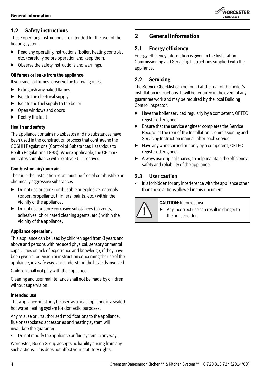

## <span id="page-3-0"></span>**1.2 Safety instructions**

These operating instructions are intended for the user of the heating system.

- $\blacktriangleright$  Read any operating instructions (boiler, heating controls, etc.) carefully before operation and keep them.
- $\triangleright$  Observe the safety instructions and warnings.

#### **Oil fumes or leaks from the appliance**

If you smell oil fumes, observe the following rules.

- $\blacktriangleright$  Extinguish any naked flames
- $\blacktriangleright$  Isolate the electrical supply
- $\blacktriangleright$  Isolate the fuel supply to the boiler
- ▶ Open windows and doors
- **Rectify the fault**

#### **Health and safety**

The appliance contains no asbestos and no substances have been used in the construction process that contravene the COSHH Regulations (Control of Substances Hazardous to Health Regulations 1988). Where applicable, the CE mark indicates compliance with relative EU Directives.

#### **Combustion air/room air**

The air in the installation room must be free of combustible or chemically aggressive substances.

- $\triangleright$  Do not use or store combustible or explosive materials (paper, propellants, thinners, paints, etc.) within the vicinity of the appliance.
- $\triangleright$  Do not use or store corrosive substances (solvents, adhesives, chlorinated cleaning agents, etc.) within the vicinity of the appliance.

#### **Appliance operation:**

This appliance can be used by children aged from 8 years and above and persons with reduced physical, sensory or mental capabilities or lack of experience and knowledge, if they have been given supervision or instruction concerning the use of the appliance, in a safe way, and understand the hazards involved.

Children shall not play with the appliance.

Cleaning and user maintenance shall not be made by children without supervision.

#### **Intended use**

This appliance must only be used as a heat appliance in a sealed hot water heating system for domestic purposes.

Any misuse or unauthorised modifications to the appliance, flue or associated accessories and heating system will invalidate the guarantee.

• Do not modify the appliance or flue system in any way.

Worcester, Bosch Group accepts no liability arising from any such actions. This does not affect your statutory rights.

## <span id="page-3-1"></span>**2 General Information**

## <span id="page-3-2"></span>**2.1 Energy efficiency**

Energy efficiency information is given in the Installation, Commissioning and Servicing Instructions supplied with the appliance.

## <span id="page-3-3"></span>**2.2 Servicing**

The Service Checklist can be found at the rear of the boiler's installation instructions. It will be required in the event of any guarantee work and may be required by the local Building Control Inspector.

- ▶ Have the boiler serviced regularly by a competent, OFTEC registered engineer.
- $\blacktriangleright$  Ensure that the service engineer completes the Service Record, at the rear of the Installation, Commissioning and Servicing Instruction manual, after each service.
- ▶ Have any work carried out only by a competent, OFTEC registered engineer.
- $\blacktriangleright$  Always use original spares, to help maintain the efficiency, safety and reliability of the appliance.

## <span id="page-3-4"></span>**2.3 User caution**

It is forbidden for any interference with the appliance other than those actions allowed in this document.



#### **CAUTION:** Incorrect use

▶ Any incorrect use can result in danger to the householder.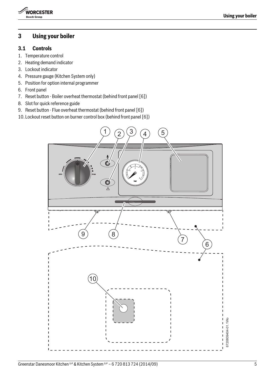

## <span id="page-4-0"></span>**3 Using your boiler**

#### <span id="page-4-1"></span>**3.1 Controls**

- 1. Temperature control
- 2. Heating demand indicator
- 3. Lockout indicator
- 4. Pressure gauge (Kitchen System only)
- 5. Position for option internal programmer
- 6. Front panel
- 7. Reset button Boiler overheat thermostat (behind front panel [6])
- 8. Slot for quick reference guide
- 9. Reset button Flue overheat thermostat (behind front panel [6])
- 10. Lockout reset button on burner control box (behind front panel [6])

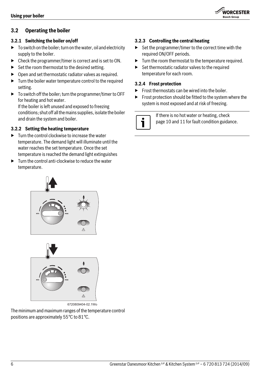

## <span id="page-5-0"></span>**3.2 Operating the boiler**

#### <span id="page-5-1"></span>**3.2.1 Switching the boiler on/off**

- $\triangleright$  To switch on the boiler; turn on the water, oil and electricity supply to the boiler.
- ▶ Check the programmer/timer is correct and is set to ON.
- $\triangleright$  Set the room thermostat to the desired setting.
- $\triangleright$  Open and set thermostatic radiator valves as required.
- $\blacktriangleright$  Turn the boiler water temperature control to the required setting.
- ▶ To switch off the boiler; turn the programmer/timer to OFF for heating and hot water. If the boiler is left unused and exposed to freezing

conditions; shut off all the mains supplies, isolate the boiler and drain the system and boiler.

#### <span id="page-5-2"></span>**3.2.2 Setting the heating temperature**

- $\blacktriangleright$  Turn the control clockwise to increase the water temperature. The demand light will illuminate until the water reaches the set temperature. Once the set temperature is reached the demand light extinguishes
- $\blacktriangleright$  Turn the control anti-clockwise to reduce the water temperature.





6720809404-02.1Wo

The minimum and maximum ranges of the temperature control positions are approximately 55°C to 81°C.

#### <span id="page-5-3"></span>**3.2.3 Controlling the central heating**

- ▶ Set the programmer/timer to the correct time with the required ON/OFF periods.
- ▶ Turn the room thermostat to the temperature required.
- ▶ Set thermostatic radiator valves to the required temperature for each room.

#### <span id="page-5-4"></span>**3.2.4 Frost protection**

- $\blacktriangleright$  Frost thermostats can be wired into the boiler.
- ▶ Frost protection should be fitted to the system where the system is most exposed and at risk of freezing.

If there is no hot water or heating, check pag[e 10](#page-9-0) an[d 11](#page-10-0) for fault condition guidance.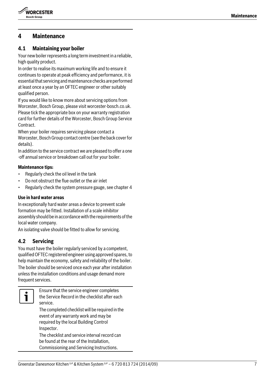

## <span id="page-6-0"></span>**4 Maintenance**

## <span id="page-6-1"></span>**4.1 Maintaining your boiler**

Your new boiler represents a long term investment in a reliable, high quality product.

In order to realise its maximum working life and to ensure it continues to operate at peak efficiency and performance, it is essential that servicing and maintenance checks are performed at least once a year by an OFTEC engineer or other suitably qualified person.

If you would like to know more about servicing options from Worcester, Bosch Group, please visit worcester-bosch.co.uk. Please tick the appropriate box on your warranty registration card for further details of the Worcester, Bosch Group Service Contract.

When your boiler requires servicing please contact a Worcester, Bosch Group contact centre (see the back cover for details).

In addition to the service contract we are pleased to offer a one -off annual service or breakdown call out for your boiler.

#### **Maintenance tips:**

- Regularly check the oil level in the tank
- Do not obstruct the flue outlet or the air inlet
- Regularly check the system pressure gauge, see chapter 4

#### **Use in hard water areas**

In exceptionally hard water areas a device to prevent scale formation may be fitted. Installation of a scale inhibitor assembly should be in accordance with the requirements of the local water company.

An isolating valve should be fitted to allow for servicing.

## <span id="page-6-2"></span>**4.2 Servicing**

You must have the boiler regularly serviced by a competent, qualified OFTEC registered engineer using approved spares, to help maintain the economy, safety and reliability of the boiler. The boiler should be serviced once each year after installation unless the installation conditions and usage demand more frequent services.



Ensure that the service engineer completes the Service Record in the checklist after each service.

The completed checklist will be required in the event of any warranty work and may be required by the local Building Control Inspector.

The checklist and service interval record can be found at the rear of the Installation, Commissioning and Servicing Instructions.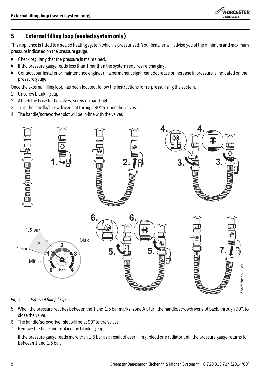

## <span id="page-7-0"></span>**5 External filling loop (sealed system only)**

This appliance is fitted to a sealed heating system which is pressurised. Your installer will advise you of the minimum and maximum pressure indicated on the pressure gauge.

- $\blacktriangleright$  Check regularly that the pressure is maintained.
- $\blacktriangleright$  If the pressure gauge reads less than 1 bar then the system requires re-charging.
- ▶ Contact your installer or maintenance engineer if a permanent significant decrease or increase in pressure is indicated on the pressure gauge.

Once the external filling loop has been located, follow the instructions for re-pressurising the system.

- 1. Unscrew blanking cap.
- 2. Attach the hose to the valves, screw on hand-tight.
- 3. Turn the handle/screwdriver slot through 90° to open the valves.
- 4. The handle/screwdriver slot will be in-line with the valves



<span id="page-7-1"></span>*Fig. 1 External filling loop*

- 5. When the pressure reaches between the 1 and 1.5 bar marks (zone A), turn the handle/screwdriver slot back, through 90°, to close the valve.
- 6. The handle/screwdriver slot will be at 90° to the valves
- 7. Remove the hose and replace the blanking caps.

If the pressure gauge reads more than 1.5 bar as a result of over filling, bleed one radiator until the pressure gauge returns to between 1 and 1.5 bar.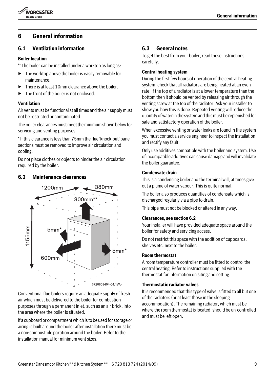

## <span id="page-8-0"></span>**6 General information**

#### <span id="page-8-1"></span>**6.1 Ventilation information**

#### **Boiler location**

\*\* The boiler can be installed under a worktop as long as:

- $\blacktriangleright$  The worktop above the boiler is easily removable for maintenance.
- ▶ There is at least 10mm clearance above the boiler.
- ▶ The front of the boiler is not enclosed.

#### **Ventilation**

Air vents must be functional at all times and the air supply must not be restricted or contaminated.

The boiler clearances must meet the minimum shown below for servicing and venting purposes.

\* If this clearance is less than 75mm the flue 'knock-out' panel sections must be removed to improve air circulation and cooling.

Do not place clothes or objects to hinder the air circulation required by the boiler.

#### <span id="page-8-2"></span>**6.2 Maintenance clearances**



Conventional flue boilers require an adequate supply of fresh air which must be delivered to the boiler for combustion purposes through a permanent inlet, such as an air brick, into the area where the boiler is situated.

If a cupboard or compartment which is to be used for storage or airing is built around the boiler after installation there must be a non-combustible partition around the boiler. Refer to the installation manual for minimum vent sizes.

#### <span id="page-8-3"></span>**6.3 General notes**

To get the best from your boiler, read these instructions carefully.

#### **Central heating system**

During the first few hours of operation of the central heating system, check that all radiators are being heated at an even rate. If the top of a radiator is at a lower temperature than the bottom then it should be vented by releasing air through the venting screw at the top of the radiator. Ask your installer to show you how this is done. Repeated venting will reduce the quantity of water in the system and this must be replenished for safe and satisfactory operation of the boiler.

When excessive venting or water leaks are found in the system you must contact a service engineer to inspect the installation and rectify any fault.

Only use additives compatible with the boiler and system. Use of incompatible additives can cause damage and will invalidate the boiler guarantee.

#### **Condensate drain**

This is a condensing boiler and the terminal will, at times give out a plume of water vapour. This is quite normal.

The boiler also produces quantities of condensate which is discharged regularly via a pipe to drain.

This pipe must not be blocked or altered in any way.

#### **Clearances, see sectio[n 6.2](#page-8-2)**

Your installer will have provided adequate space around the boiler for safety and servicing access.

Do not restrict this space with the addition of cupboards, shelves etc. next to the boiler.

#### **Room thermostat**

A room temperature controller must be fitted to control the central heating. Refer to instructions supplied with the thermostat for information on siting and setting.

#### **Thermostatic radiator valves**

It is recommended that this type of valve is fitted to all but one of the radiators (or at least those in the sleeping accommodation). The remaining radiator, which must be where the room thermostat is located, should be un-controlled and must be left open.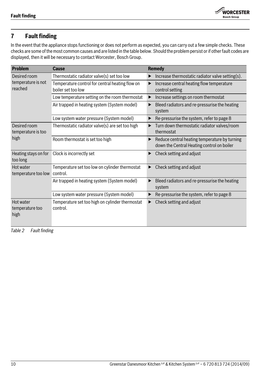

## <span id="page-9-0"></span>**7 Fault finding**

In the event that the appliance stops functioning or does not perform as expected, you can carry out a few simple checks. These checks are some of the most common causes and are listed in the table below. Should the problem persist or if other fault codes are displayed, then it will be necessary to contact Worcester, Bosch Group.

| <b>Problem</b>                                | <b>Cause</b>                                                          | Remedy                                                                                      |
|-----------------------------------------------|-----------------------------------------------------------------------|---------------------------------------------------------------------------------------------|
| Desired room<br>temperature is not<br>reached | Thermostatic radiator valve(s) set too low                            | Increase thermostatic radiator valve setting(s).                                            |
|                                               | Temperature control for central heating flow on<br>boiler set too low | Increase central heating flow temperature<br>control setting                                |
|                                               | Low temperature setting on the room thermostat                        | Increase settings on room thermostat                                                        |
|                                               | Air trapped in heating system (System model)                          | Bleed radiators and re-pressurise the heating<br>▶<br>system                                |
|                                               | Low system water pressure (System model)                              | Re-pressurise the system, refer to page 8                                                   |
| Desired room<br>temperature is too<br>high    | Thermostatic radiator valve(s) are set too high                       | Turn down thermostatic radiator valves/room<br>thermostat                                   |
|                                               | Room thermostat is set too high                                       | Reduce central heating temperature by turning<br>down the Central Heating control on boiler |
| Heating stays on for<br>too long              | Clock is incorrectly set                                              | Check setting and adjust                                                                    |
| Hot water<br>temperature too low              | Temperature set too low on cylinder thermostat<br>control.            | Check setting and adjust                                                                    |
|                                               | Air trapped in heating system (System model)                          | Bleed radiators and re-pressurise the heating<br>system                                     |
|                                               | Low system water pressure (System model)                              | Re-pressurise the system, refer to page 8                                                   |
| Hot water<br>temperature too<br>high          | Temperature set too high on cylinder thermostat<br>control.           | Check setting and adjust                                                                    |

*Table 2 Fault finding*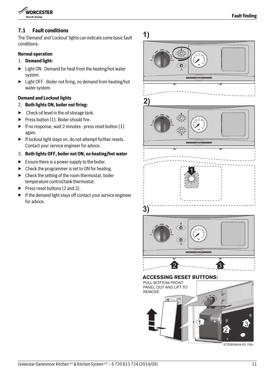

## <span id="page-10-0"></span>**7.1 Fault conditions**

The 'Demand' and 'Lockout' lights can indicate some basic fault conditions:

#### **Normal operation**

- 1. **Demand light:**
- ▶ Light ON Demand for heat from the heating/hot water system.
- ▶ Light OFF Boiler not firing, no demand from heating/hot water system.

## **Demand and Lockout lights**

- 2. **Both lights ON, boiler not firing:**
- $\blacktriangleright$  Check oil level in the oil storage tank.
- $\blacktriangleright$  Press button (1). Boiler should fire.
- $\blacktriangleright$  If no response, wait 2 minutes press reset button (1) again.
- ▶ If lockout light stays on, do not attempt further resets. Contact your service engineer for advice.
- 3. **Both lights OFF, boiler not ON, no heating/hot water**
- $\blacktriangleright$  Ensure there is a power supply to the boiler.
- $\triangleright$  Check the programmer is set to ON for heating.
- $\blacktriangleright$  Check the setting of the room thermostat, boiler temperature control/tank thermostat.
- $\blacktriangleright$  Press reset buttons (2 and 3).
- $\blacktriangleright$  If the demand light stays off contact your service engineer for advice.

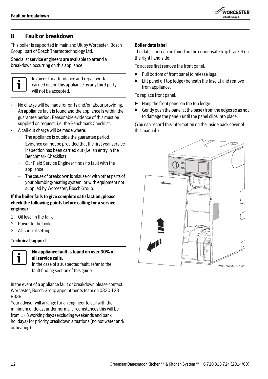

## <span id="page-11-0"></span>**8 Fault or breakdown**

This boiler is supported in mainland UK by Worcester, Bosch Group, part of Bosch Thermotechnology Ltd.

Specialist service engineers are available to attend a breakdown occurring on this appliance.



Invoices for attendance and repair work carried out on this appliance by any third party will not be accepted.

- No charge will be made for parts and/or labour providing: An appliance fault is found and the appliance is within the guarantee period. Reasonable evidence of this must be supplied on request. i.e. the Benchmark Checklist.
- A call-out charge will be made where:
	- The appliance is outside the guarantee period.
	- Evidence cannot be provided that the first year service inspection has been carried out (i.e. an entry in the Benchmark Checklist).
	- Our Field Service Engineer finds no fault with the appliance.
	- The cause of breakdown is misuse or with other parts of your plumbing/heating system, or with equipment not supplied by Worcester, Bosch Group.

#### **If the boiler fails to give complete satisfaction, please check the following points before calling for a service engineer:**

- 1. Oil level in the tank
- 2. Power to the boiler
- 3. All control settings

#### **Technical support**



## **No appliance fault is found on over 30% of all service calls.**

In the case of a suspected fault, refer to the

In the event of a appliance fault or breakdown please contact Worcester, Bosch Group appointments team on 0330 123 9339.

Your advisor will arrange for an engineer to call with the minimum of delay; under normal circumstances this will be from 1 - 3 working days (excluding weekends and bank holidays) for priority breakdown situations (no hot water and/ or heating).

#### **Boiler data label**

The data label can be found on the condensate trap bracket on the right hand side.

To access first remove the front panel:

- ▶ Pull bottom of front panel to release lugs.
- $\blacktriangleright$  Lift panel off top ledge (beneath the fascia) and remove from appliance.

To replace front panel:

- $\blacktriangleright$  Hang the front panel on the top ledge.
- $\blacktriangleright$  Gently push the panel at the base (from the edges so as not to damage the panel) until the panel clips into place.

(You can record this information on the inside back cover of this manual.)

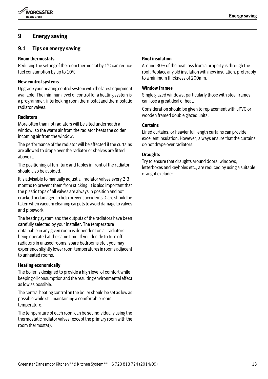

## <span id="page-12-0"></span>**9 Energy saving**

## <span id="page-12-1"></span>**9.1 Tips on energy saving**

#### **Room thermostats**

Reducing the setting of the room thermostat by 1°C can reduce fuel consumption by up to 10%.

#### **New control systems**

Upgrade your heating control system with the latest equipment available. The minimum level of control for a heating system is a programmer, interlocking room thermostat and thermostatic radiator valves.

#### **Radiators**

More often than not radiators will be sited underneath a window, so the warm air from the radiator heats the colder incoming air from the window.

The performance of the radiator will be affected if the curtains are allowed to drape over the radiator or shelves are fitted above it.

The positioning of furniture and tables in front of the radiator should also be avoided.

It is advisable to manually adjust all radiator valves every 2-3 months to prevent them from sticking. It is also important that the plastic tops of all valves are always in position and not cracked or damaged to help prevent accidents. Care should be taken when vacuum cleaning carpets to avoid damage to valves and pipework.

The heating system and the outputs of the radiators have been carefully selected by your installer. The temperature obtainable in any given room is dependent on all radiators being operated at the same time. If you decide to turn off radiators in unused rooms, spare bedrooms etc., you may experience slightly lower room temperatures in rooms adjacent to unheated rooms.

#### **Heating economically**

The boiler is designed to provide a high level of comfort while keeping oil consumption and the resulting environmental effect as low as possible.

The central heating control on the boiler should be set as low as possible while still maintaining a comfortable room temperature.

The temperature of each room can be set individually using the thermostatic radiator valves (except the primary room with the room thermostat).

#### **Roof insulation**

Around 30% of the heat loss from a property is through the roof. Replace any old insulation with new insulation, preferably to a minimum thickness of 200mm.

#### **Window frames**

Single glazed windows, particularly those with steel frames, can lose a great deal of heat.

Consideration should be given to replacement with uPVC or wooden framed double glazed units.

#### **Curtains**

Lined curtains, or heavier full length curtains can provide excellent insulation. However, always ensure that the curtains do not drape over radiators.

#### **Draughts**

Try to ensure that draughts around doors, windows, letterboxes and keyholes etc., are reduced by using a suitable draught excluder.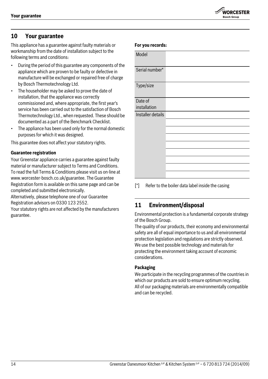## **WORCESTER** .<br>Rosch Groun

## <span id="page-13-0"></span>**10 Your guarantee**

This appliance has a guarantee against faulty materials or workmanship from the date of installation subject to the following terms and conditions:

- During the period of this guarantee any components of the appliance which are proven to be faulty or defective in manufacture will be exchanged or repaired free of charge by Bosch Thermotechnology Ltd.
- The householder may be asked to prove the date of installation, that the appliance was correctly commissioned and, where appropriate, the first year's service has been carried out to the satisfaction of Bosch Thermotechnology Ltd., when requested. These should be documented as a part of the Benchmark Checklist.
- The appliance has been used only for the normal domestic purposes for which it was designed.

This guarantee does not affect your statutory rights.

#### **Guarantee registration**

Your Greenstar appliance carries a guarantee against faulty material or manufacturer subject to Terms and Conditions. To read the full Terms & Conditions please visit us on-line at www.worcester-bosch.co.uk/guarantee. The Guarantee Registration form is available on this same page and can be completed and submitted electronically.

Alternatively, please telephone one of our Guarantee Registration advisors on 0330 123 2552.

Your statutory rights are not affected by the manufacturers guarantee.

| Model             |  |
|-------------------|--|
| Serial number*    |  |
| Type/size         |  |
| Date of           |  |
| installation      |  |
|                   |  |
| Installer details |  |
|                   |  |
|                   |  |
|                   |  |
|                   |  |
|                   |  |
|                   |  |
|                   |  |
|                   |  |
|                   |  |

[\*] Refer to the boiler data label inside the casing

## <span id="page-13-1"></span>**11 Environment/disposal**

Environmental protection is a fundamental corporate strategy of the Bosch Group.

The quality of our products, their economy and environmental safety are all of equal importance to us and all environmental protection legislation and regulations are strictly observed. We use the best possible technology and materials for protecting the environment taking account of economic considerations.

#### **Packaging**

**For you records:**

We participate in the recycling programmes of the countries in which our products are sold to ensure optimum recycling. All of our packaging materials are environmentally compatible and can be recycled.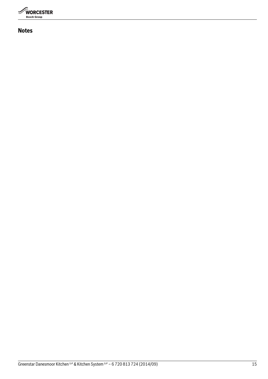

## **Notes**